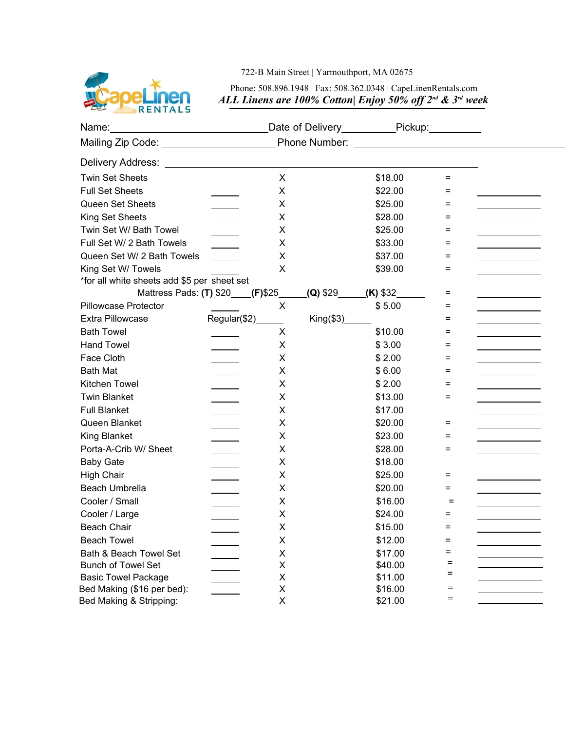

## 722-B Main Street | Yarmouthport, MA 02675

## Phone: 508.896.1948 | Fax: 508.362.0348 | CapeLinenRentals.com *ALL Linens are 100% Cotton| Enjoy 50% off 2nd & 3rd week*

|                                             |                                                           | Date of Delivery____________Pickup:__________ |                            |         |          |                                                                                                                                                                                                                                                                                                                                                                                                                                                        |
|---------------------------------------------|-----------------------------------------------------------|-----------------------------------------------|----------------------------|---------|----------|--------------------------------------------------------------------------------------------------------------------------------------------------------------------------------------------------------------------------------------------------------------------------------------------------------------------------------------------------------------------------------------------------------------------------------------------------------|
| Mailing Zip Code: _______________________   |                                                           |                                               |                            |         |          |                                                                                                                                                                                                                                                                                                                                                                                                                                                        |
|                                             |                                                           |                                               |                            |         |          |                                                                                                                                                                                                                                                                                                                                                                                                                                                        |
| <b>Twin Set Sheets</b>                      |                                                           | X                                             |                            | \$18.00 | $=$      |                                                                                                                                                                                                                                                                                                                                                                                                                                                        |
| <b>Full Set Sheets</b>                      |                                                           | X                                             |                            | \$22.00 | $\equiv$ |                                                                                                                                                                                                                                                                                                                                                                                                                                                        |
| Queen Set Sheets                            | $\mathcal{L}^{\text{max}}$ and $\mathcal{L}^{\text{max}}$ | X                                             |                            | \$25.00 | $\equiv$ | $\label{eq:2.1} \frac{1}{\sqrt{2}}\left(\frac{1}{\sqrt{2}}\right)^{2} \left(\frac{1}{\sqrt{2}}\right)^{2} \left(\frac{1}{\sqrt{2}}\right)^{2} \left(\frac{1}{\sqrt{2}}\right)^{2} \left(\frac{1}{\sqrt{2}}\right)^{2} \left(\frac{1}{\sqrt{2}}\right)^{2} \left(\frac{1}{\sqrt{2}}\right)^{2} \left(\frac{1}{\sqrt{2}}\right)^{2} \left(\frac{1}{\sqrt{2}}\right)^{2} \left(\frac{1}{\sqrt{2}}\right)^{2} \left(\frac{1}{\sqrt{2}}\right)^{2} \left(\$ |
| King Set Sheets                             |                                                           | X                                             |                            | \$28.00 | $\equiv$ | and the control of the control of                                                                                                                                                                                                                                                                                                                                                                                                                      |
| Twin Set W/ Bath Towel                      |                                                           | X                                             |                            | \$25.00 | $=$      |                                                                                                                                                                                                                                                                                                                                                                                                                                                        |
| Full Set W/ 2 Bath Towels                   |                                                           | X                                             |                            | \$33.00 | $=$      |                                                                                                                                                                                                                                                                                                                                                                                                                                                        |
| Queen Set W/ 2 Bath Towels                  |                                                           | X                                             |                            | \$37.00 | Ξ        | and the control of the control of                                                                                                                                                                                                                                                                                                                                                                                                                      |
| King Set W/ Towels                          |                                                           | X                                             |                            | \$39.00 | =        |                                                                                                                                                                                                                                                                                                                                                                                                                                                        |
| *for all white sheets add \$5 per sheet set |                                                           |                                               |                            |         |          |                                                                                                                                                                                                                                                                                                                                                                                                                                                        |
|                                             | Mattress Pads: (T) \$20___(F)\$25_                        |                                               | $(Q)$ \$29 $(K)$ \$32      |         | $=$      |                                                                                                                                                                                                                                                                                                                                                                                                                                                        |
| <b>Pillowcase Protector</b>                 |                                                           | X                                             |                            | \$5.00  | $\equiv$ | and the control of the control of                                                                                                                                                                                                                                                                                                                                                                                                                      |
| <b>Extra Pillowcase</b>                     | Regular(\$2)                                              |                                               | $King($3)$ <sub>____</sub> |         | $=$      |                                                                                                                                                                                                                                                                                                                                                                                                                                                        |
| <b>Bath Towel</b>                           |                                                           | X                                             |                            | \$10.00 | Ξ        |                                                                                                                                                                                                                                                                                                                                                                                                                                                        |
| <b>Hand Towel</b>                           |                                                           | X                                             |                            | \$3.00  | $=$      |                                                                                                                                                                                                                                                                                                                                                                                                                                                        |
| Face Cloth                                  |                                                           | X                                             |                            | \$2.00  | $=$      | and the control of the control of                                                                                                                                                                                                                                                                                                                                                                                                                      |
| <b>Bath Mat</b>                             |                                                           | X                                             |                            | \$6.00  | Ξ        | and the control of the control of the                                                                                                                                                                                                                                                                                                                                                                                                                  |
| Kitchen Towel                               |                                                           | X                                             |                            | \$2.00  | Ξ        |                                                                                                                                                                                                                                                                                                                                                                                                                                                        |
| <b>Twin Blanket</b>                         |                                                           | X                                             |                            | \$13.00 | $=$      |                                                                                                                                                                                                                                                                                                                                                                                                                                                        |
| <b>Full Blanket</b>                         |                                                           | X                                             |                            | \$17.00 |          |                                                                                                                                                                                                                                                                                                                                                                                                                                                        |
| Queen Blanket                               |                                                           | X                                             |                            | \$20.00 | $=$      |                                                                                                                                                                                                                                                                                                                                                                                                                                                        |
| <b>King Blanket</b>                         |                                                           | X                                             |                            | \$23.00 | Ξ        | the control of the control of the control                                                                                                                                                                                                                                                                                                                                                                                                              |
| Porta-A-Crib W/ Sheet                       |                                                           | X                                             |                            | \$28.00 | Ξ        |                                                                                                                                                                                                                                                                                                                                                                                                                                                        |
| <b>Baby Gate</b>                            |                                                           | X                                             |                            | \$18.00 |          |                                                                                                                                                                                                                                                                                                                                                                                                                                                        |
| <b>High Chair</b>                           |                                                           | X                                             |                            | \$25.00 | $=$      |                                                                                                                                                                                                                                                                                                                                                                                                                                                        |
| Beach Umbrella                              |                                                           | X                                             |                            | \$20.00 | =        |                                                                                                                                                                                                                                                                                                                                                                                                                                                        |
| Cooler / Small                              |                                                           | X                                             |                            | \$16.00 | $=$      | and the control of the control of                                                                                                                                                                                                                                                                                                                                                                                                                      |
| Cooler / Large                              |                                                           | X                                             |                            | \$24.00 | $\equiv$ |                                                                                                                                                                                                                                                                                                                                                                                                                                                        |
| <b>Beach Chair</b>                          |                                                           | X                                             |                            | \$15.00 | $\equiv$ |                                                                                                                                                                                                                                                                                                                                                                                                                                                        |
| <b>Beach Towel</b>                          |                                                           | X                                             |                            | \$12.00 | $=$      |                                                                                                                                                                                                                                                                                                                                                                                                                                                        |
| Bath & Beach Towel Set                      |                                                           | X                                             |                            | \$17.00 | =        |                                                                                                                                                                                                                                                                                                                                                                                                                                                        |
| <b>Bunch of Towel Set</b>                   |                                                           | Χ                                             |                            | \$40.00 | =        |                                                                                                                                                                                                                                                                                                                                                                                                                                                        |
| <b>Basic Towel Package</b>                  |                                                           | Χ                                             |                            | \$11.00 | =        |                                                                                                                                                                                                                                                                                                                                                                                                                                                        |
| Bed Making (\$16 per bed):                  |                                                           | X                                             |                            | \$16.00 | $=$      |                                                                                                                                                                                                                                                                                                                                                                                                                                                        |
| Bed Making & Stripping:                     |                                                           | Χ                                             |                            | \$21.00 | $=$      |                                                                                                                                                                                                                                                                                                                                                                                                                                                        |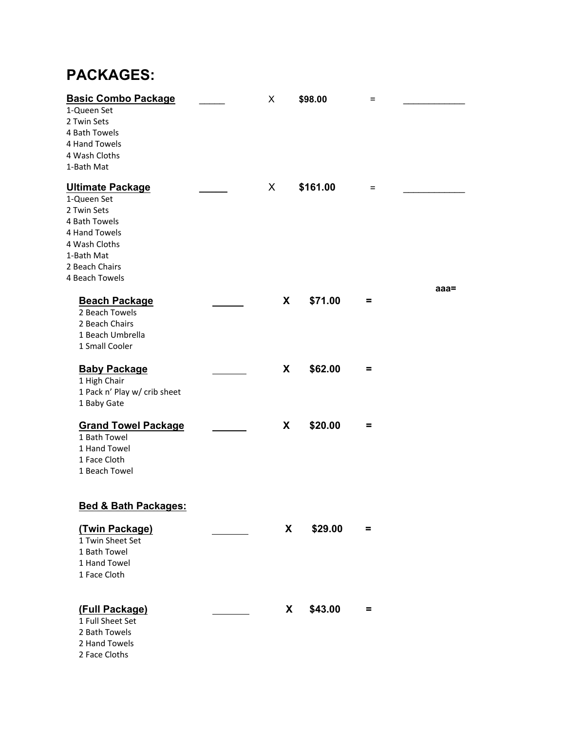## **PACKAGES:**

| <b>Basic Combo Package</b>      | $\pmb{\times}$ | \$98.00  | $=$      |         |  |
|---------------------------------|----------------|----------|----------|---------|--|
| 1-Queen Set                     |                |          |          |         |  |
| 2 Twin Sets                     |                |          |          |         |  |
| 4 Bath Towels                   |                |          |          |         |  |
| 4 Hand Towels                   |                |          |          |         |  |
| 4 Wash Cloths                   |                |          |          |         |  |
| 1-Bath Mat                      |                |          |          |         |  |
| <b>Ultimate Package</b>         | X              | \$161.00 | $=$      |         |  |
| 1-Queen Set                     |                |          |          |         |  |
| 2 Twin Sets                     |                |          |          |         |  |
| 4 Bath Towels                   |                |          |          |         |  |
| 4 Hand Towels                   |                |          |          |         |  |
| 4 Wash Cloths                   |                |          |          |         |  |
| 1-Bath Mat                      |                |          |          |         |  |
| 2 Beach Chairs                  |                |          |          |         |  |
| 4 Beach Towels                  |                |          |          |         |  |
|                                 |                |          |          | $aaa =$ |  |
| <b>Beach Package</b>            | X              | \$71.00  | Ξ        |         |  |
| 2 Beach Towels                  |                |          |          |         |  |
| 2 Beach Chairs                  |                |          |          |         |  |
| 1 Beach Umbrella                |                |          |          |         |  |
| 1 Small Cooler                  |                |          |          |         |  |
|                                 |                |          |          |         |  |
| <b>Baby Package</b>             | X              | \$62.00  | Ξ        |         |  |
| 1 High Chair                    |                |          |          |         |  |
| 1 Pack n' Play w/ crib sheet    |                |          |          |         |  |
| 1 Baby Gate                     |                |          |          |         |  |
|                                 |                |          |          |         |  |
| <b>Grand Towel Package</b>      | X              | \$20.00  | $\equiv$ |         |  |
| 1 Bath Towel                    |                |          |          |         |  |
| 1 Hand Towel                    |                |          |          |         |  |
| 1 Face Cloth                    |                |          |          |         |  |
| 1 Beach Towel                   |                |          |          |         |  |
|                                 |                |          |          |         |  |
|                                 |                |          |          |         |  |
| <b>Bed &amp; Bath Packages:</b> |                |          |          |         |  |
| (Twin Package)                  | X              | \$29.00  | $\equiv$ |         |  |
| 1 Twin Sheet Set                |                |          |          |         |  |
| 1 Bath Towel                    |                |          |          |         |  |
| 1 Hand Towel                    |                |          |          |         |  |
| 1 Face Cloth                    |                |          |          |         |  |
|                                 |                |          |          |         |  |
| (Full Package)                  | X              | \$43.00  | $\equiv$ |         |  |
| 1 Full Sheet Set                |                |          |          |         |  |
| 2 Bath Towels                   |                |          |          |         |  |
| 2 Hand Towels                   |                |          |          |         |  |
| 2 Face Cloths                   |                |          |          |         |  |
|                                 |                |          |          |         |  |